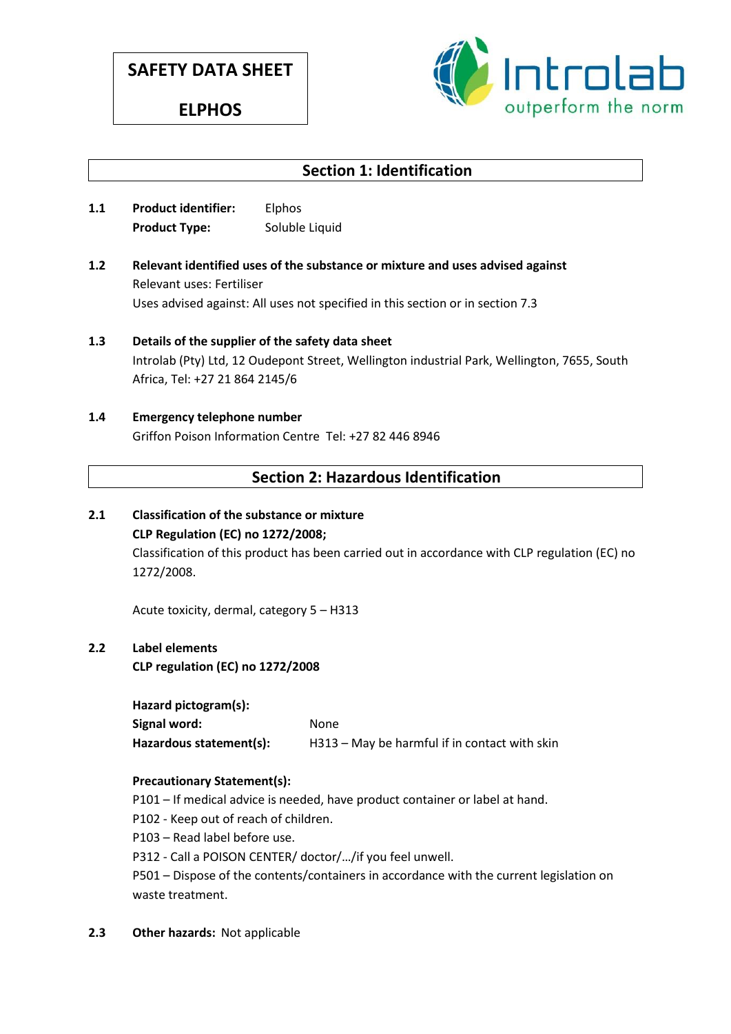# **SAFETY DATA SHEET**

## **ELPHOS**



## **Section 1: Identification**

- **1.1 Product identifier:** Elphos **Product Type:** Soluble Liquid
- **1.2 Relevant identified uses of the substance or mixture and uses advised against** Relevant uses: Fertiliser Uses advised against: All uses not specified in this section or in section 7.3
- **1.3 Details of the supplier of the safety data sheet** Introlab (Pty) Ltd, 12 Oudepont Street, Wellington industrial Park, Wellington, 7655, South Africa, Tel: +27 21 864 2145/6

### **1.4 Emergency telephone number** Griffon Poison Information Centre Tel: +27 82 446 8946

## **Section 2: Hazardous Identification**

**2.1 Classification of the substance or mixture CLP Regulation (EC) no 1272/2008;**

> Classification of this product has been carried out in accordance with CLP regulation (EC) no 1272/2008.

Acute toxicity, dermal, category 5 – H313

### **2.2 Label elements**

**CLP regulation (EC) no 1272/2008**

**Hazard pictogram(s):**

Signal word: None **Hazardous statement(s):** H313 – May be harmful if in contact with skin

### **Precautionary Statement(s):**

- P101 If medical advice is needed, have product container or label at hand.
- P102 Keep out of reach of children.
- P103 Read label before use.
- P312 Call a POISON CENTER/ doctor/…/if you feel unwell.

P501 – Dispose of the contents/containers in accordance with the current legislation on waste treatment.

**2.3 Other hazards:** Not applicable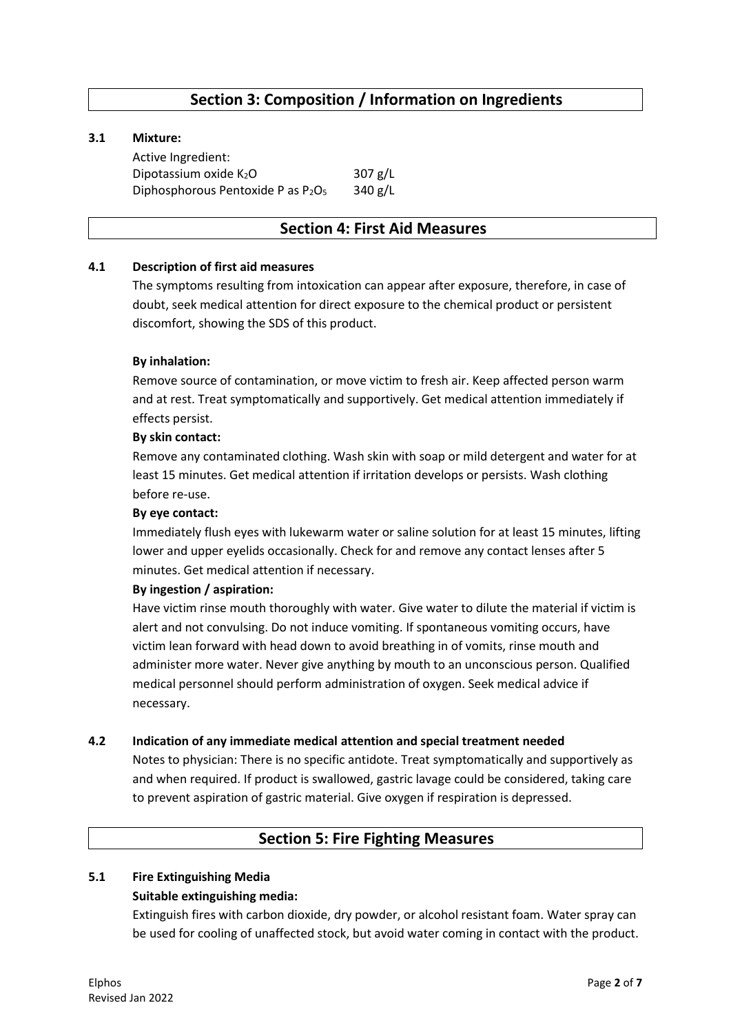## **Section 3: Composition / Information on Ingredients**

#### **3.1 Mixture:**

Active Ingredient: Dipotassium oxide  $K_2O$  307 g/L Diphosphorous Pentoxide P as  $P_2O_5$  340 g/L

### **Section 4: First Aid Measures**

#### **4.1 Description of first aid measures**

The symptoms resulting from intoxication can appear after exposure, therefore, in case of doubt, seek medical attention for direct exposure to the chemical product or persistent discomfort, showing the SDS of this product.

#### **By inhalation:**

Remove source of contamination, or move victim to fresh air. Keep affected person warm and at rest. Treat symptomatically and supportively. Get medical attention immediately if effects persist.

#### **By skin contact:**

Remove any contaminated clothing. Wash skin with soap or mild detergent and water for at least 15 minutes. Get medical attention if irritation develops or persists. Wash clothing before re-use.

#### **By eye contact:**

Immediately flush eyes with lukewarm water or saline solution for at least 15 minutes, lifting lower and upper eyelids occasionally. Check for and remove any contact lenses after 5 minutes. Get medical attention if necessary.

#### **By ingestion / aspiration:**

Have victim rinse mouth thoroughly with water. Give water to dilute the material if victim is alert and not convulsing. Do not induce vomiting. If spontaneous vomiting occurs, have victim lean forward with head down to avoid breathing in of vomits, rinse mouth and administer more water. Never give anything by mouth to an unconscious person. Qualified medical personnel should perform administration of oxygen. Seek medical advice if necessary.

#### **4.2 Indication of any immediate medical attention and special treatment needed**

Notes to physician: There is no specific antidote. Treat symptomatically and supportively as and when required. If product is swallowed, gastric lavage could be considered, taking care to prevent aspiration of gastric material. Give oxygen if respiration is depressed.

### **Section 5: Fire Fighting Measures**

#### **5.1 Fire Extinguishing Media**

#### **Suitable extinguishing media:**

Extinguish fires with carbon dioxide, dry powder, or alcohol resistant foam. Water spray can be used for cooling of unaffected stock, but avoid water coming in contact with the product.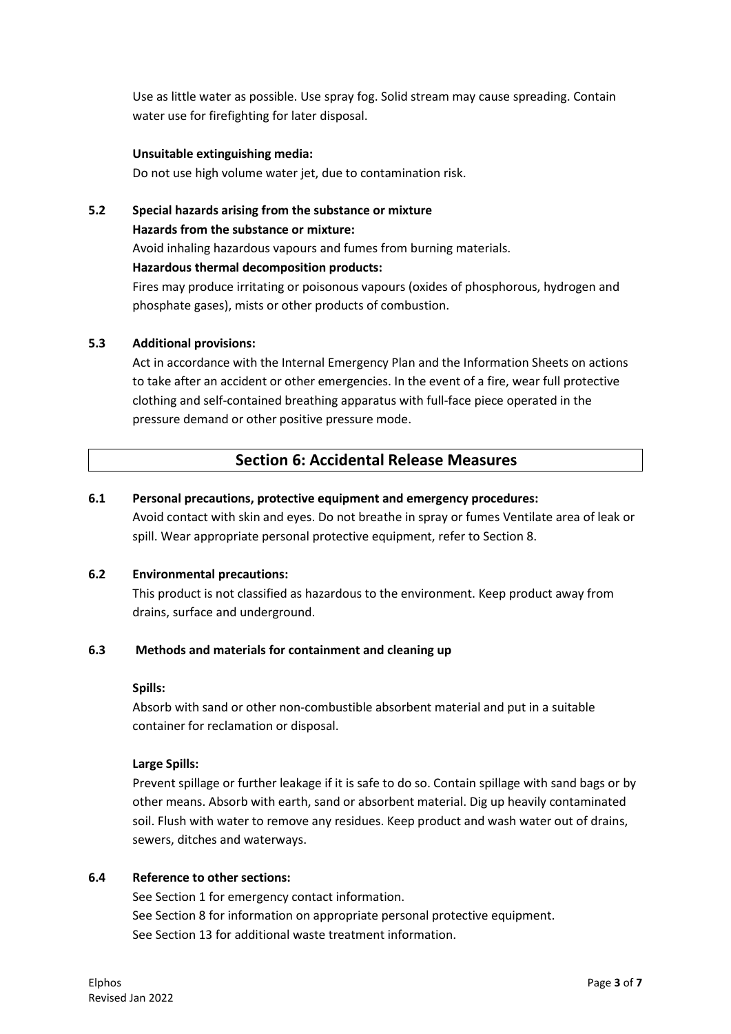Use as little water as possible. Use spray fog. Solid stream may cause spreading. Contain water use for firefighting for later disposal.

#### **Unsuitable extinguishing media:**

Do not use high volume water jet, due to contamination risk.

## **5.2 Special hazards arising from the substance or mixture Hazards from the substance or mixture:** Avoid inhaling hazardous vapours and fumes from burning materials. **Hazardous thermal decomposition products:** Fires may produce irritating or poisonous vapours (oxides of phosphorous, hydrogen and phosphate gases), mists or other products of combustion.

#### **5.3 Additional provisions:**

Act in accordance with the Internal Emergency Plan and the Information Sheets on actions to take after an accident or other emergencies. In the event of a fire, wear full protective clothing and self-contained breathing apparatus with full-face piece operated in the pressure demand or other positive pressure mode.

### **Section 6: Accidental Release Measures**

#### **6.1 Personal precautions, protective equipment and emergency procedures:**

Avoid contact with skin and eyes. Do not breathe in spray or fumes Ventilate area of leak or spill. Wear appropriate personal protective equipment, refer to Section 8.

#### **6.2 Environmental precautions:**

This product is not classified as hazardous to the environment. Keep product away from drains, surface and underground.

#### **6.3 Methods and materials for containment and cleaning up**

#### **Spills:**

Absorb with sand or other non-combustible absorbent material and put in a suitable container for reclamation or disposal.

#### **Large Spills:**

Prevent spillage or further leakage if it is safe to do so. Contain spillage with sand bags or by other means. Absorb with earth, sand or absorbent material. Dig up heavily contaminated soil. Flush with water to remove any residues. Keep product and wash water out of drains, sewers, ditches and waterways.

#### **6.4 Reference to other sections:**

See Section 1 for emergency contact information. See Section 8 for information on appropriate personal protective equipment. See Section 13 for additional waste treatment information.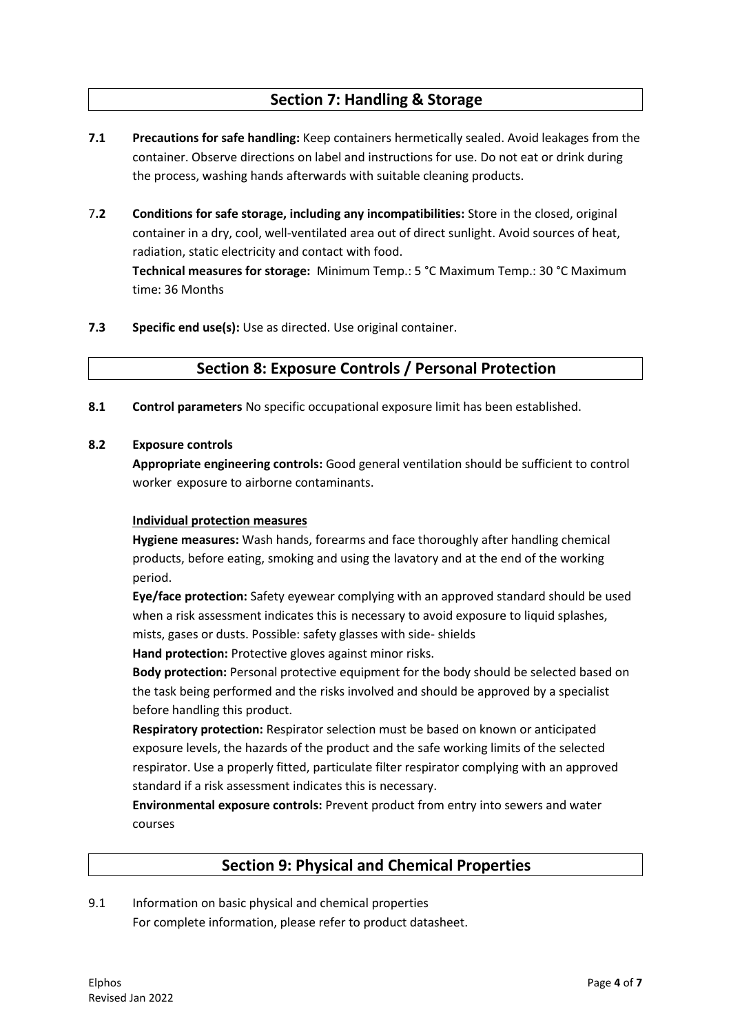### **Section 7: Handling & Storage**

- **7.1 Precautions for safe handling:** Keep containers hermetically sealed. Avoid leakages from the container. Observe directions on label and instructions for use. Do not eat or drink during the process, washing hands afterwards with suitable cleaning products.
- 7**.2 Conditions for safe storage, including any incompatibilities:** Store in the closed, original container in a dry, cool, well-ventilated area out of direct sunlight. Avoid sources of heat, radiation, static electricity and contact with food.

**Technical measures for storage:** Minimum Temp.: 5 °C Maximum Temp.: 30 °C Maximum time: 36 Months

**7.3 Specific end use(s):** Use as directed. Use original container.

### **Section 8: Exposure Controls / Personal Protection**

**8.1 Control parameters** No specific occupational exposure limit has been established.

#### **8.2 Exposure controls**

**Appropriate engineering controls:** Good general ventilation should be sufficient to control worker exposure to airborne contaminants.

#### **Individual protection measures**

**Hygiene measures:** Wash hands, forearms and face thoroughly after handling chemical products, before eating, smoking and using the lavatory and at the end of the working period.

**Eye/face protection:** Safety eyewear complying with an approved standard should be used when a risk assessment indicates this is necessary to avoid exposure to liquid splashes, mists, gases or dusts. Possible: safety glasses with side- shields

**Hand protection:** Protective gloves against minor risks.

**Body protection:** Personal protective equipment for the body should be selected based on the task being performed and the risks involved and should be approved by a specialist before handling this product.

**Respiratory protection:** Respirator selection must be based on known or anticipated exposure levels, the hazards of the product and the safe working limits of the selected respirator. Use a properly fitted, particulate filter respirator complying with an approved standard if a risk assessment indicates this is necessary.

**Environmental exposure controls:** Prevent product from entry into sewers and water courses

## **Section 9: Physical and Chemical Properties**

9.1 Information on basic physical and chemical properties For complete information, please refer to product datasheet.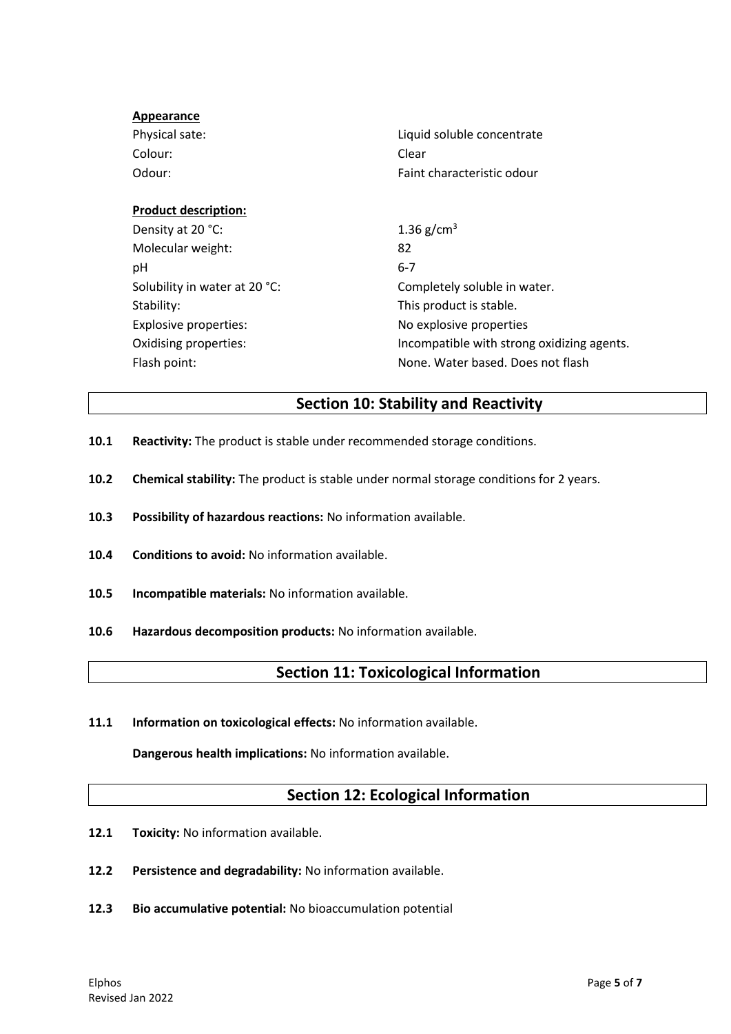| Liquid soluble concentrate                 |  |
|--------------------------------------------|--|
| Clear                                      |  |
| Faint characteristic odour                 |  |
|                                            |  |
|                                            |  |
| 1.36 g/cm <sup>3</sup>                     |  |
| 82                                         |  |
| $6 - 7$                                    |  |
| Completely soluble in water.               |  |
| This product is stable.                    |  |
| No explosive properties                    |  |
| Incompatible with strong oxidizing agents. |  |
| None. Water based. Does not flash          |  |
|                                            |  |

### **Section 10: Stability and Reactivity**

- **10.1 Reactivity:** The product is stable under recommended storage conditions.
- **10.2 Chemical stability:** The product is stable under normal storage conditions for 2 years.
- **10.3 Possibility of hazardous reactions:** No information available.
- **10.4 Conditions to avoid:** No information available.
- **10.5 Incompatible materials:** No information available.
- **10.6 Hazardous decomposition products:** No information available.

### **Section 11: Toxicological Information**

**11.1 Information on toxicological effects:** No information available.

**Dangerous health implications:** No information available.

## **Section 12: Ecological Information**

- 12.1 Toxicity: No information available.
- **12.2 Persistence and degradability:** No information available.
- **12.3 Bio accumulative potential:** No bioaccumulation potential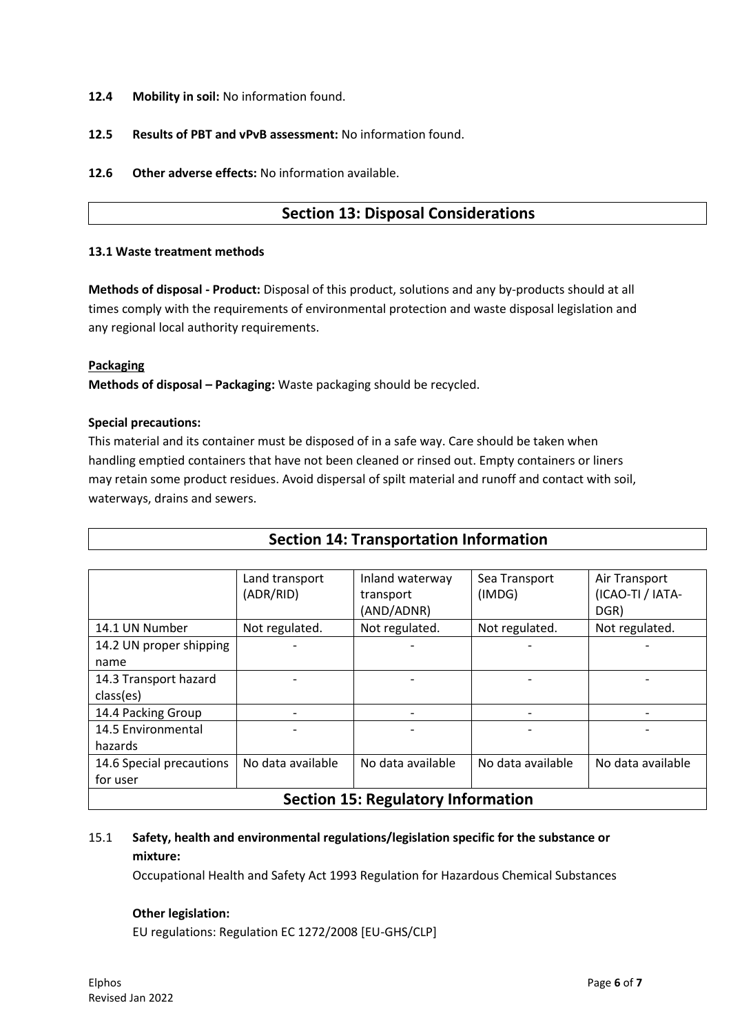- **12.4 Mobility in soil:** No information found.
- **12.5 Results of PBT and vPvB assessment:** No information found.
- **12.6 Other adverse effects:** No information available.

## **Section 13: Disposal Considerations**

#### **13.1 Waste treatment methods**

**Methods of disposal - Product:** Disposal of this product, solutions and any by-products should at all times comply with the requirements of environmental protection and waste disposal legislation and any regional local authority requirements.

#### **Packaging**

**Methods of disposal – Packaging:** Waste packaging should be recycled.

#### **Special precautions:**

This material and its container must be disposed of in a safe way. Care should be taken when handling emptied containers that have not been cleaned or rinsed out. Empty containers or liners may retain some product residues. Avoid dispersal of spilt material and runoff and contact with soil, waterways, drains and sewers.

|                                    | Land transport<br>(ADR/RID) | Inland waterway<br>transport<br>(AND/ADNR) | Sea Transport<br>(IMDG) | Air Transport<br>(ICAO-TI / IATA-<br>DGR) |
|------------------------------------|-----------------------------|--------------------------------------------|-------------------------|-------------------------------------------|
| 14.1 UN Number                     | Not regulated.              | Not regulated.                             | Not regulated.          | Not regulated.                            |
| 14.2 UN proper shipping            |                             |                                            |                         |                                           |
| name                               |                             |                                            |                         |                                           |
| 14.3 Transport hazard              |                             |                                            |                         |                                           |
| class(es)                          |                             |                                            |                         |                                           |
| 14.4 Packing Group                 |                             |                                            |                         |                                           |
| 14.5 Environmental                 |                             |                                            |                         |                                           |
| hazards                            |                             |                                            |                         |                                           |
| 14.6 Special precautions           | No data available           | No data available                          | No data available       | No data available                         |
| for user                           |                             |                                            |                         |                                           |
| Costian 15, Deculatem: Information |                             |                                            |                         |                                           |

**Section 14: Transportation Information**

### **Section 15: Regulatory Information**

### 15.1 **Safety, health and environmental regulations/legislation specific for the substance or mixture:**

Occupational Health and Safety Act 1993 Regulation for Hazardous Chemical Substances

#### **Other legislation:**

EU regulations: Regulation EC 1272/2008 [EU-GHS/CLP]